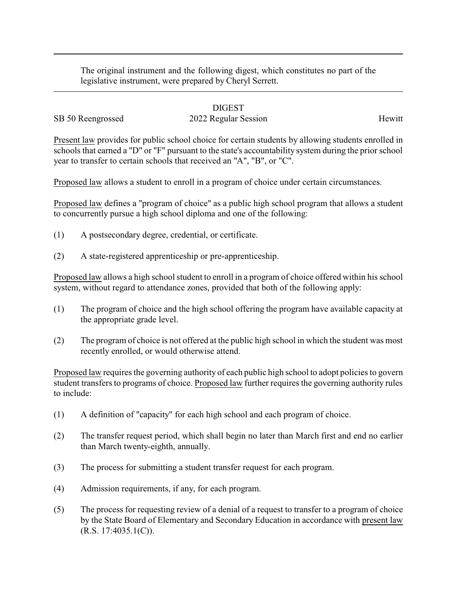The original instrument and the following digest, which constitutes no part of the legislative instrument, were prepared by Cheryl Serrett.

## DIGEST

## SB 50 Reengrossed 2022 Regular Session Hewitt

Present law provides for public school choice for certain students by allowing students enrolled in schools that earned a "D" or "F" pursuant to the state's accountability system during the prior school year to transfer to certain schools that received an "A", "B", or "C".

Proposed law allows a student to enroll in a program of choice under certain circumstances.

Proposed law defines a "program of choice" as a public high school program that allows a student to concurrently pursue a high school diploma and one of the following:

- (1) A postsecondary degree, credential, or certificate.
- (2) A state-registered apprenticeship or pre-apprenticeship.

Proposed law allows a high school student to enroll in a program of choice offered within his school system, without regard to attendance zones, provided that both of the following apply:

- (1) The program of choice and the high school offering the program have available capacity at the appropriate grade level.
- (2) The program of choice is not offered at the public high school in which the student was most recently enrolled, or would otherwise attend.

Proposed law requires the governing authority of each public high school to adopt policies to govern student transfers to programs of choice. Proposed law further requires the governing authority rules to include:

- (1) A definition of "capacity" for each high school and each program of choice.
- (2) The transfer request period, which shall begin no later than March first and end no earlier than March twenty-eighth, annually.
- (3) The process for submitting a student transfer request for each program.
- (4) Admission requirements, if any, for each program.
- (5) The process for requesting review of a denial of a request to transfer to a program of choice by the State Board of Elementary and Secondary Education in accordance with present law (R.S. 17:4035.1(C)).